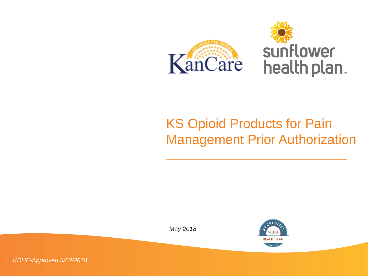

#### KS Opioid Products for Pain Management Prior Authorization



*KDHE-Approved 5/22/2018*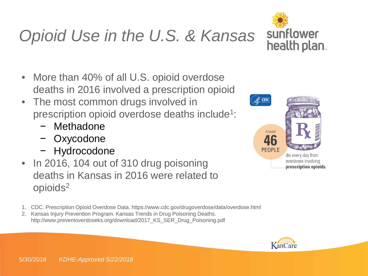# *Opioid Use in the U.S. & Kansas*



- More than 40% of all U.S. opioid overdose deaths in 2016 involved a prescription opioid
- The most common drugs involved in prescription opioid overdose deaths include1:
	- − Methadone
	- − Oxycodone
	- − Hydrocodone
- In 2016, 104 out of 310 drug poisoning deaths in Kansas in 2016 were related to opioids2
- 1. CDC. Prescription Opioid Overdose Data. https://www.cdc.gov/drugoverdose/data/overdose.html
- 2. Kansas Injury Prevention Program. Kansas Trends in Drug Poisoning Deaths. http://www.preventoverdoseks.org/download/2017\_KS\_SER\_Drug\_Poisoning.pdf



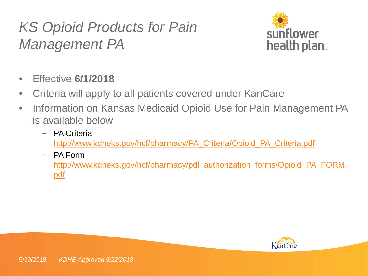

- Effective **6/1/2018**
- Criteria will apply to all patients covered under KanCare
- Information on Kansas Medicaid Opioid Use for Pain Management PA is available below
	- − PA Criteria [http://www.kdheks.gov/hcf/pharmacy/PA\\_Criteria/Opioid\\_PA\\_Criteria.pdf](http://www.kdheks.gov/hcf/pharmacy/PA_Criteria/Opioid_PA_Criteria.pdf)
	- − PA Form [http://www.kdheks.gov/hcf/pharmacy/pdl\\_authorization\\_forms/Opioid\\_PA\\_FORM.](http://www.kdheks.gov/hcf/pharmacy/pdl_authorization_forms/Opioid_PA_FORM.pdf) pdf

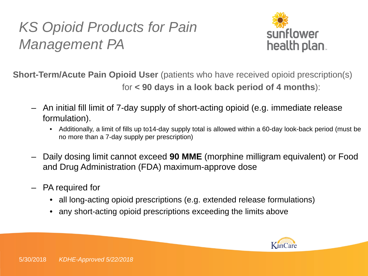

**Short-Term/Acute Pain Opioid User** (patients who have received opioid prescription(s) for **< 90 days in a look back period of 4 months**):

- An initial fill limit of 7-day supply of short-acting opioid (e.g. immediate release formulation).
	- Additionally, a limit of fills up to14-day supply total is allowed within a 60-day look-back period (must be no more than a 7-day supply per prescription)
- Daily dosing limit cannot exceed **90 MME** (morphine milligram equivalent) or Food and Drug Administration (FDA) maximum-approve dose
- PA required for
	- all long-acting opioid prescriptions (e.g. extended release formulations)
	- any short-acting opioid prescriptions exceeding the limits above

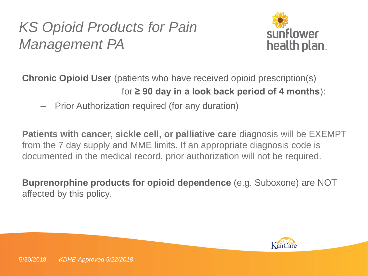

**Chronic Opioid User** (patients who have received opioid prescription(s) for **≥ 90 day in a look back period of 4 months**):

– Prior Authorization required (for any duration)

**Patients with cancer, sickle cell, or palliative care** diagnosis will be EXEMPT from the 7 day supply and MME limits. If an appropriate diagnosis code is documented in the medical record, prior authorization will not be required.

**Buprenorphine products for opioid dependence** (e.g. Suboxone) are NOT affected by this policy.

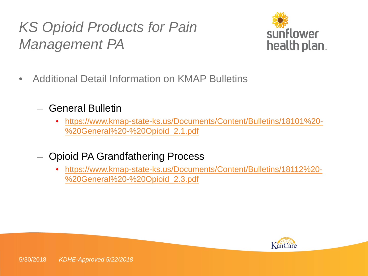

- Additional Detail Information on KMAP Bulletins
	- General Bulletin
		- [https://www.kmap-state-ks.us/Documents/Content/Bulletins/18101%20-](https://www.kmap-state-ks.us/Documents/Content/Bulletins/18101%20-%20General%20-%20Opioid_2.1.pdf) %20General%20-%20Opioid\_2.1.pdf
	- Opioid PA Grandfathering Process
		- [https://www.kmap-state-ks.us/Documents/Content/Bulletins/18112%20-](https://www.kmap-state-ks.us/Documents/Content/Bulletins/18112%20-%20General%20-%20Opioid_2.3.pdf) %20General%20-%20Opioid\_2.3.pdf

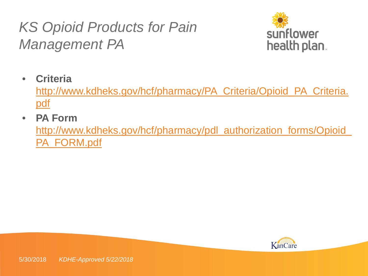

• **Criteria** 

[http://www.kdheks.gov/hcf/pharmacy/PA\\_Criteria/Opioid\\_PA\\_Criteria.](http://www.kdheks.gov/hcf/pharmacy/PA_Criteria/Opioid_PA_Criteria.pdf) <u>pdf</u>

• **PA Form** 

[http://www.kdheks.gov/hcf/pharmacy/pdl\\_authorization\\_forms/Opioid\\_](http://www.kdheks.gov/hcf/pharmacy/pdl_authorization_forms/Opioid_PA_FORM.pdf) PA\_FORM.pdf

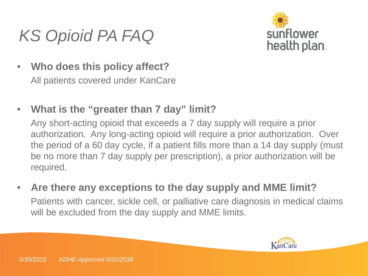## *KS Opioid PA FAQ*



- **Who does this policy affect?** All patients covered under KanCare
- **What is the "greater than 7 day" limit?**

Any short-acting opioid that exceeds a 7 day supply will require a prior authorization. Any long-acting opioid will require a prior authorization. Over the period of a 60 day cycle, if a patient fills more than a 14 day supply (must be no more than 7 day supply per prescription), a prior authorization will be required.

• **Are there any exceptions to the day supply and MME limit?** Patients with cancer, sickle cell, or palliative care diagnosis in medical claims will be excluded from the day supply and MME limits.

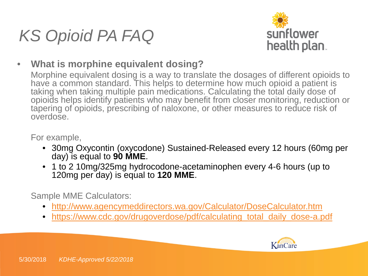



• **What is morphine equivalent dosing?**

Morphine equivalent dosing is a way to translate the dosages of different opioids to have a common standard. This helps to determine how much opioid a patient is taking when taking multiple pain medications. Calculating the total daily dose of opioids helps identify patients who may benefit from closer monitoring, reduction or tapering of opioids, prescribing of naloxone, or other measures to reduce risk of overdose.

For example,

- 30mg Oxycontin (oxycodone) Sustained-Released every 12 hours (60mg per day) is equal to **90 MME**.
- 1 to 2 10mg/325mg hydrocodone-acetaminophen every 4-6 hours (up to 120mg per day) is equal to **120 MME**.

Sample MME Calculators:

- <http://www.agencymeddirectors.wa.gov/Calculator/DoseCalculator.htm>
- [https://www.cdc.gov/drugoverdose/pdf/calculating\\_total\\_daily\\_dose-a.pdf](https://www.cdc.gov/drugoverdose/pdf/calculating_total_daily_dose-a.pdf)